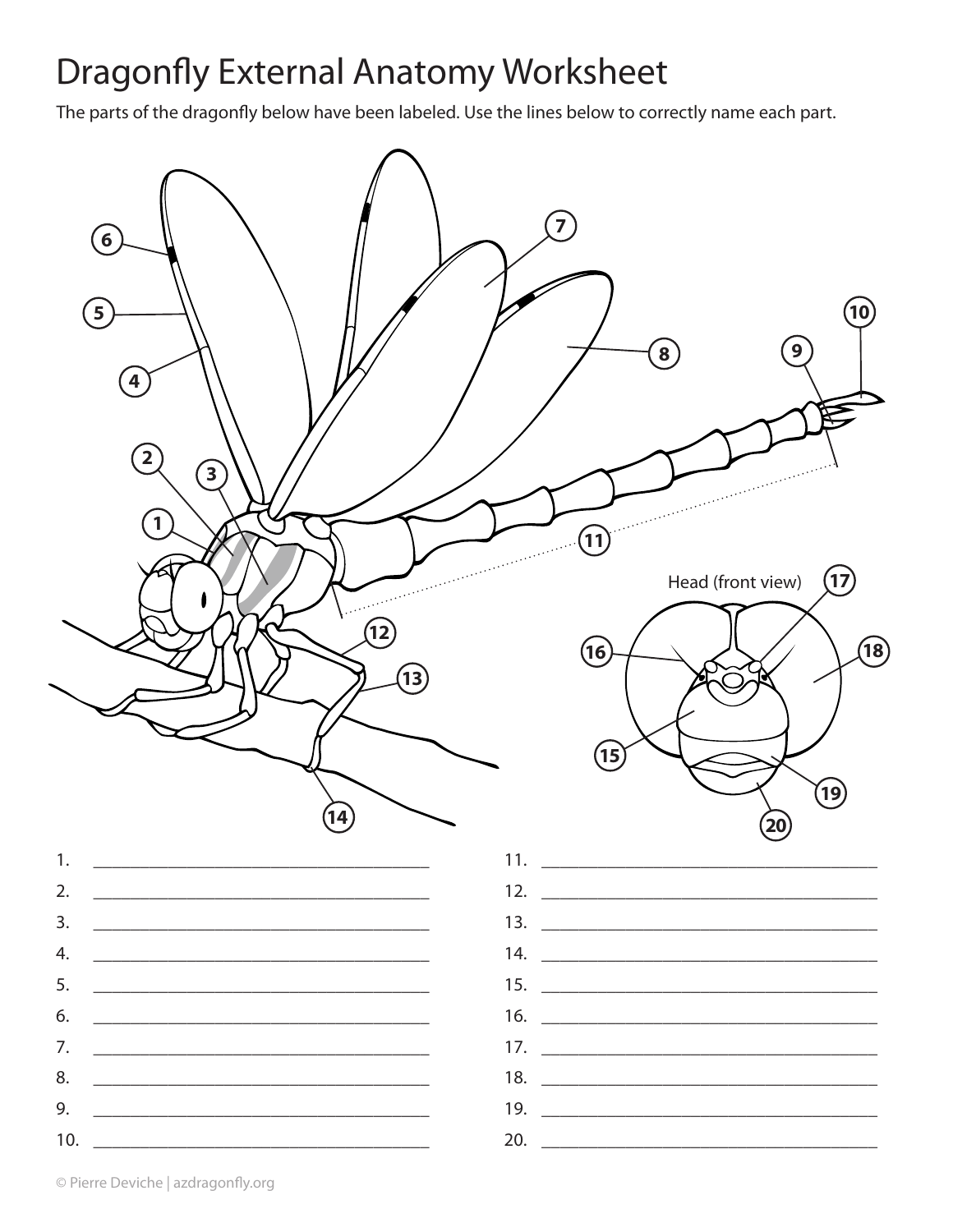## **Dragonfly External Anatomy Worksheet**

The parts of the dragonfly below have been labeled. Use the lines below to correctly name each part.

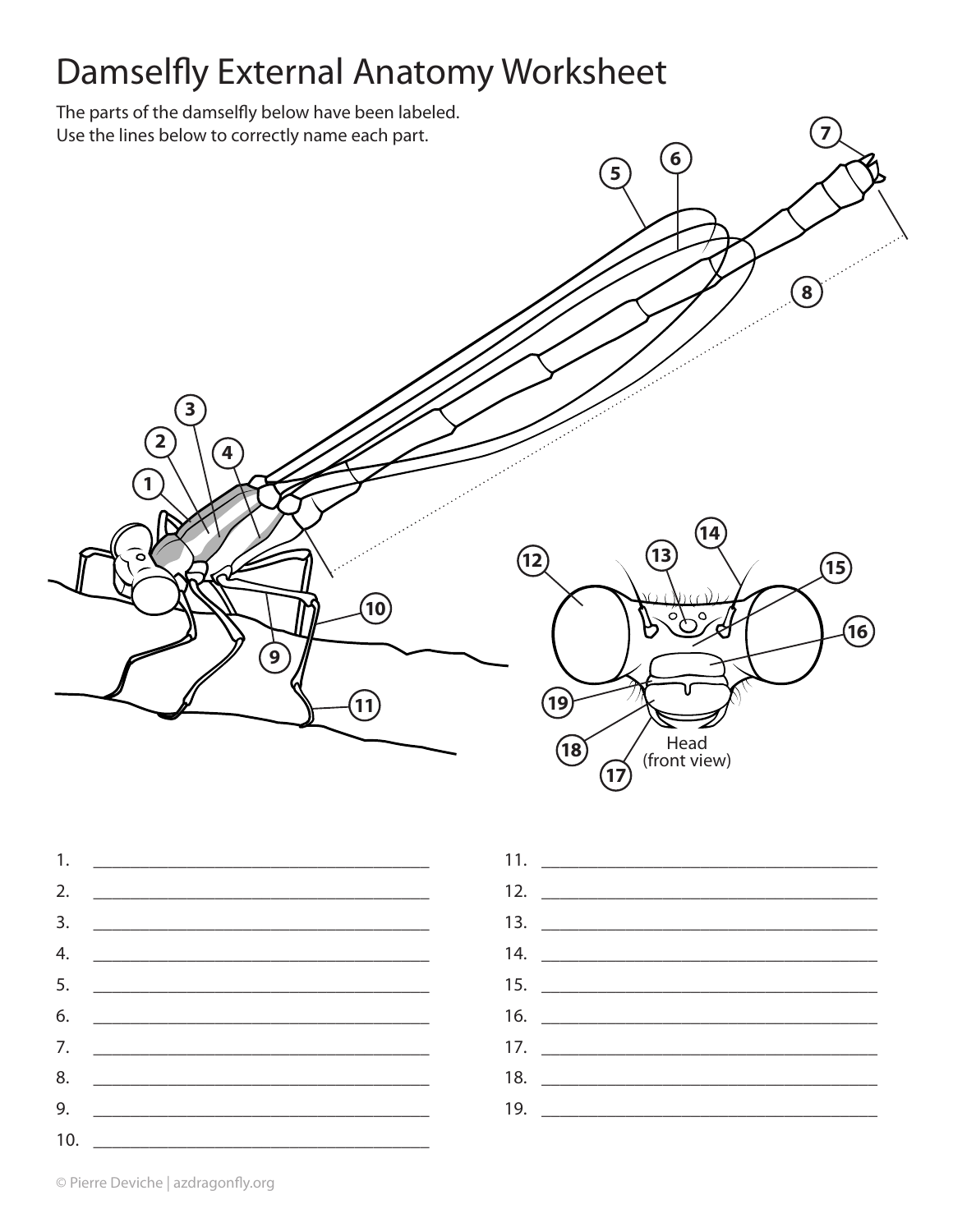## **Damselfly External Anatomy Worksheet**

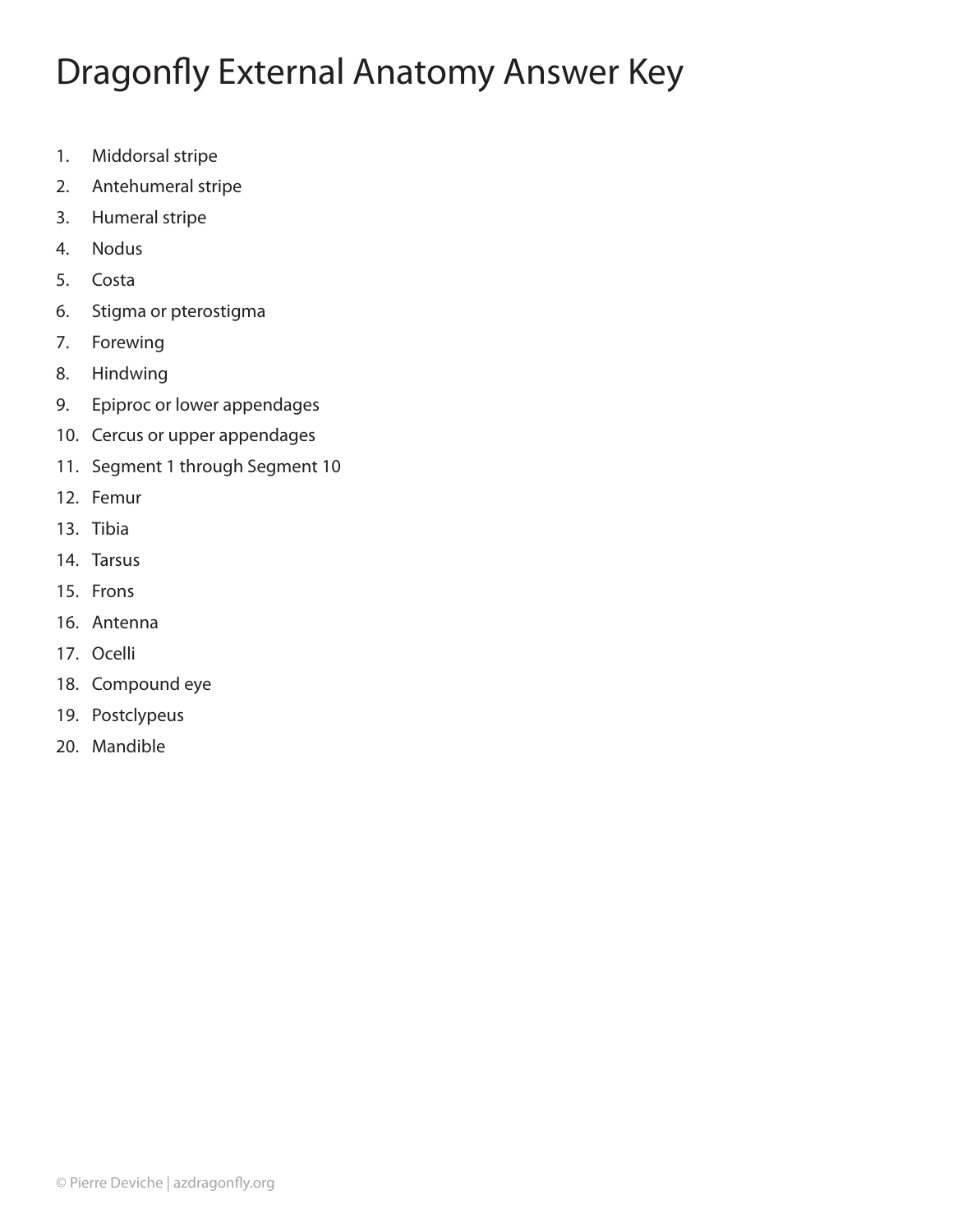## Dragonfly External Anatomy Answer Key

- 1. Middorsal stripe
- 2. Antehumeral stripe
- 3. Humeral stripe
- 4. Nodus
- 5. Costa
- 6. Stigma or pterostigma
- 7. Forewing
- 8. Hindwing
- 9. Epiproc or lower appendages
- 10. Cercus or upper appendages
- 11. Segment 1 through Segment 10
- 12. Femur
- 13. Tibia
- 14. Tarsus
- 15. Frons
- 16. Antenna
- 17. Ocelli
- 18. Compound eye
- 19. Postclypeus
- 20. Mandible